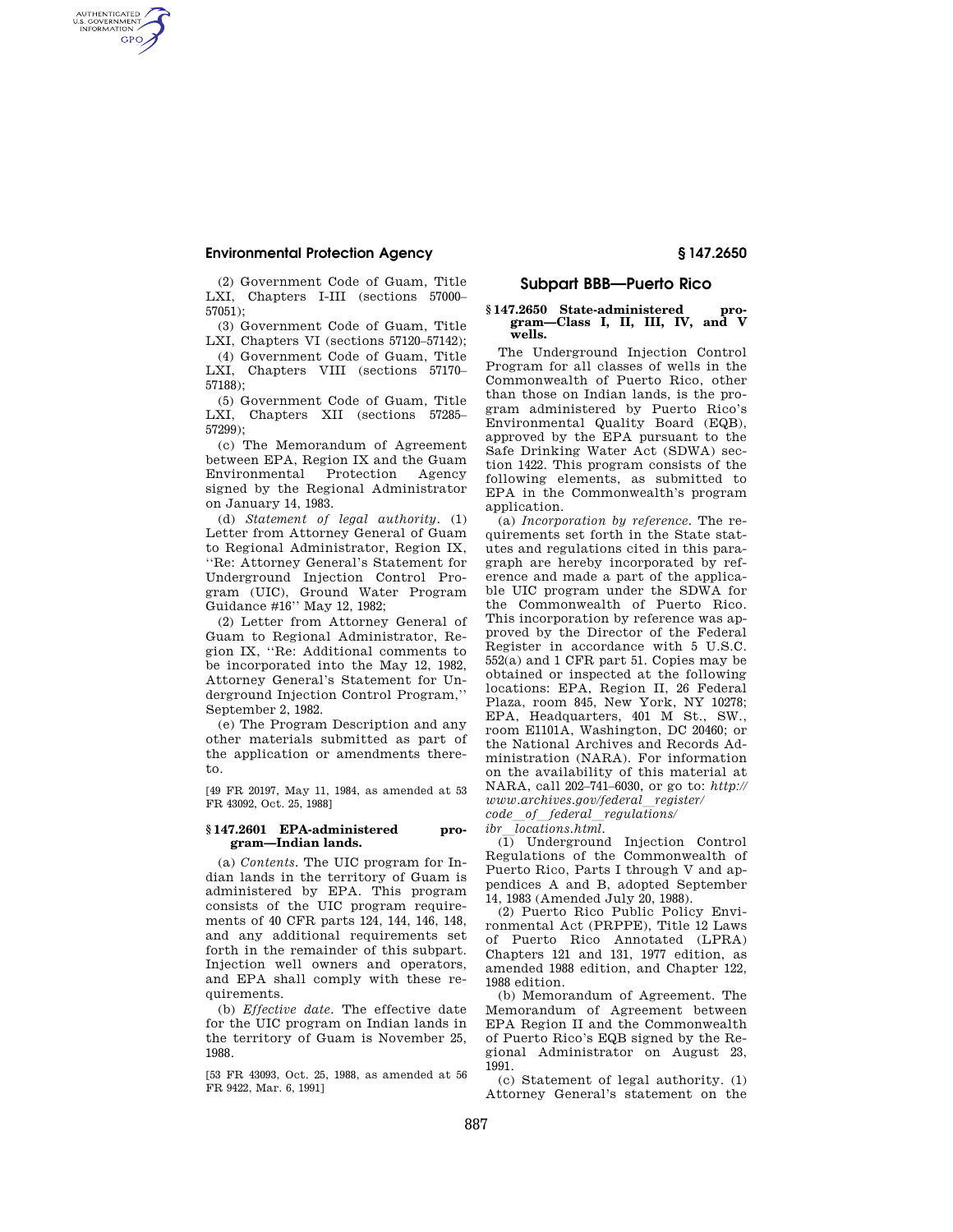## **Environmental Protection Agency § 147.2650**

AUTHENTICATED<br>U.S. GOVERNMENT<br>INFORMATION **GPO** 

> (2) Government Code of Guam, Title LXI, Chapters I-III (sections 57000– 57051);

> (3) Government Code of Guam, Title LXI, Chapters VI (sections 57120–57142);

> (4) Government Code of Guam, Title LXI, Chapters VIII (sections 57170– 57188);

> (5) Government Code of Guam, Title LXI, Chapters XII (sections 57285–  $57299$

> (c) The Memorandum of Agreement between EPA, Region IX and the Guam Environmental Protection Agency signed by the Regional Administrator on January 14, 1983.

> (d) *Statement of legal authority.* (1) Letter from Attorney General of Guam to Regional Administrator, Region IX, ''Re: Attorney General's Statement for Underground Injection Control Program (UIC), Ground Water Program Guidance #16'' May 12, 1982;

> (2) Letter from Attorney General of Guam to Regional Administrator, Region IX, ''Re: Additional comments to be incorporated into the May 12, 1982, Attorney General's Statement for Underground Injection Control Program,'' September 2, 1982.

> (e) The Program Description and any other materials submitted as part of the application or amendments thereto.

> [49 FR 20197, May 11, 1984, as amended at 53 FR 43092, Oct. 25, 1988]

### **§ 147.2601 EPA-administered program—Indian lands.**

(a) *Contents.* The UIC program for Indian lands in the territory of Guam is administered by EPA. This program consists of the UIC program requirements of 40 CFR parts 124, 144, 146, 148, and any additional requirements set forth in the remainder of this subpart. Injection well owners and operators, and EPA shall comply with these requirements.

(b) *Effective date.* The effective date for the UIC program on Indian lands in the territory of Guam is November 25, 1988.

[53 FR 43093, Oct. 25, 1988, as amended at 56 FR 9422, Mar. 6, 1991]

## **Subpart BBB—Puerto Rico**

#### **§ 147.2650 State-administered program—Class I, II, III, IV, and V wells.**

The Underground Injection Control Program for all classes of wells in the Commonwealth of Puerto Rico, other than those on Indian lands, is the program administered by Puerto Rico's Environmental Quality Board (EQB), approved by the EPA pursuant to the Safe Drinking Water Act (SDWA) section 1422. This program consists of the following elements, as submitted to EPA in the Commonwealth's program application.

(a) *Incorporation by reference.* The requirements set forth in the State statutes and regulations cited in this paragraph are hereby incorporated by reference and made a part of the applicable UIC program under the SDWA for the Commonwealth of Puerto Rico. This incorporation by reference was approved by the Director of the Federal Register in accordance with 5 U.S.C. 552(a) and 1 CFR part 51. Copies may be obtained or inspected at the following locations: EPA, Region II, 26 Federal Plaza, room 845, New York, NY 10278; EPA, Headquarters, 401 M St., SW., room E1101A, Washington, DC 20460; or the National Archives and Records Administration (NARA). For information on the availability of this material at NARA, call 202–741–6030, or go to: *http:// www.archives.gov/federal*l*register/ code*l*of*l*federal*l*regulations/* 

*ibr locations.html.* 

 $\overline{(1)}$  Underground Injection Control Regulations of the Commonwealth of Puerto Rico, Parts I through V and appendices A and B, adopted September 14, 1983 (Amended July 20, 1988).

(2) Puerto Rico Public Policy Environmental Act (PRPPE), Title 12 Laws of Puerto Rico Annotated (LPRA) Chapters 121 and 131, 1977 edition, as amended 1988 edition, and Chapter 122, 1988 edition.

(b) Memorandum of Agreement. The Memorandum of Agreement between EPA Region II and the Commonwealth of Puerto Rico's EQB signed by the Regional Administrator on August 23, 1991.

(c) Statement of legal authority. (1) Attorney General's statement on the